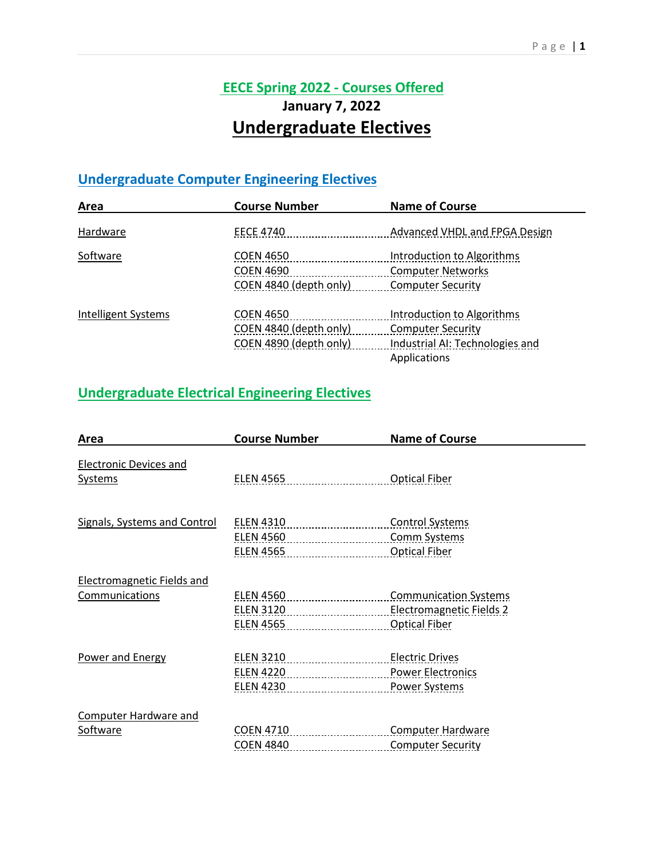# **EECE Spring 2022 - Courses Offered January 7, 2022 Undergraduate Electives**

## **Undergraduate Computer Engineering Electives**

| Area                | <b>Course Number</b>   | <b>Name of Course</b>           |
|---------------------|------------------------|---------------------------------|
| Hardware            | <b>EECE 4740</b>       | Advanced VHDL and FPGA Design   |
| Software            | <b>COEN 4650</b>       | Introduction to Algorithms      |
|                     | <b>COEN 4690</b>       | <b>Computer Networks</b>        |
|                     | COEN 4840 (depth only) | <b>Computer Security</b>        |
| Intelligent Systems | <b>COEN 4650</b>       | Introduction to Algorithms      |
|                     | COEN 4840 (depth only) | <b>Computer Security</b>        |
|                     | COEN 4890 (depth only) | Industrial AI: Technologies and |
|                     |                        | Applications                    |

#### **Undergraduate Electrical Engineering Electives**

| Area                                | <b>Course Number</b> | <b>Name of Course</b>        |
|-------------------------------------|----------------------|------------------------------|
| <b>Electronic Devices and</b>       |                      |                              |
|                                     |                      |                              |
| <b>Systems</b>                      | <b>ELEN 4565</b>     | <b>Optical Fiber</b>         |
| <b>Signals, Systems and Control</b> | ELEN 4310            | <b>Control Systems</b>       |
|                                     |                      |                              |
|                                     | ELEN 4560            | <b>Comm Systems</b>          |
|                                     | ELEN 4565            | <b>Optical Fiber</b>         |
| <b>Electromagnetic Fields and</b>   |                      |                              |
| Communications                      | <b>ELEN 4560</b>     | <b>Communication Systems</b> |
|                                     | ELEN 3120            | Electromagnetic Fields 2     |
|                                     | ELEN 4565            | <b>Optical Fiber</b>         |
| <b>Power and Energy</b>             | <b>ELEN 3210</b>     | <b>Electric Drives</b>       |
|                                     | ELEN 4220            | <b>Power Electronics</b>     |
|                                     | ELEN 4230            | <b>Power Systems</b>         |
| <b>Computer Hardware and</b>        |                      |                              |
| Software                            | COEN 4710            | <b>Computer Hardware</b>     |
|                                     | <b>COEN 4840</b>     | <b>Computer Security</b>     |
|                                     |                      |                              |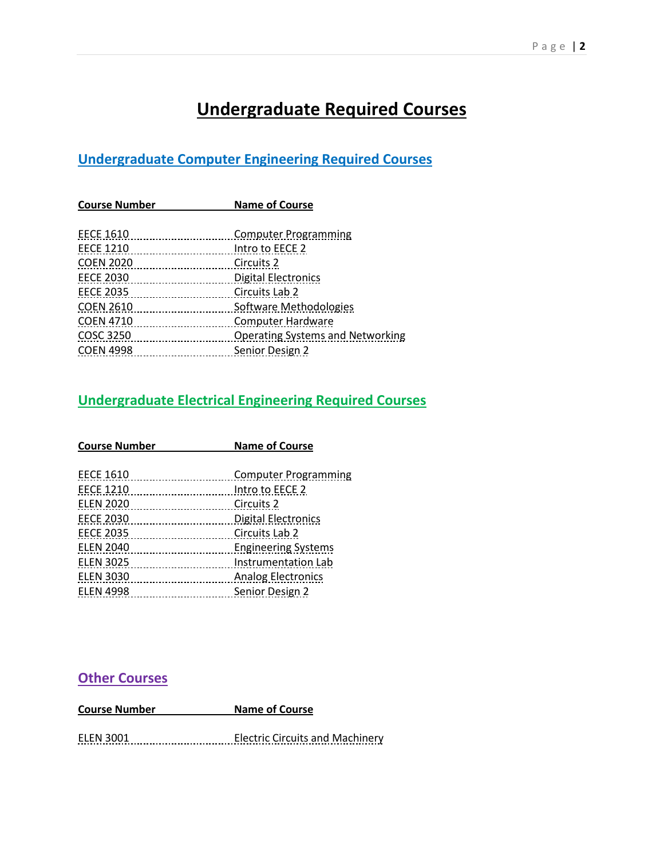# **Undergraduate Required Courses**

### **Undergraduate Computer Engineering Required Courses**

| <b>Name of Course</b>                   |  |
|-----------------------------------------|--|
|                                         |  |
| <b>Computer Programming</b>             |  |
| Intro to EECE 2                         |  |
| Circuits 2                              |  |
| <b>Digital Electronics</b>              |  |
| Circuits Lab 2                          |  |
| Software Methodologies                  |  |
| Computer Hardware                       |  |
| <b>Operating Systems and Networking</b> |  |
| Senior Design 2                         |  |
|                                         |  |

#### **Undergraduate Electrical Engineering Required Courses**

| <b>Course Number</b>                                     | <b>Name of Course</b>       |  |
|----------------------------------------------------------|-----------------------------|--|
| <b>EECE 1610</b>                                         | <b>Computer Programming</b> |  |
| <b>EECE 1210</b>                                         | Intro to EECE 2             |  |
| <b>ELEN 2020</b>                                         | Circuits 2                  |  |
| <b>EECE 2030</b>                                         | <b>Digital Electronics</b>  |  |
| <b>EECE 2035</b>                                         | Circuits Lab 2              |  |
| <b>ELEN 2040</b>                                         | <b>Engineering Systems</b>  |  |
| <b>ELEN 3025</b><br>------- <b>-------------------</b> - | Instrumentation Lab         |  |
| <b>ELEN 3030</b><br>                                     | <b>Analog Electronics</b>   |  |
| <b>ELEN 4998</b>                                         | Senior Design 2             |  |

#### **Other Courses**

**Course Number Name of Course**

ELEN 3001 Electric Circuits and Machinery